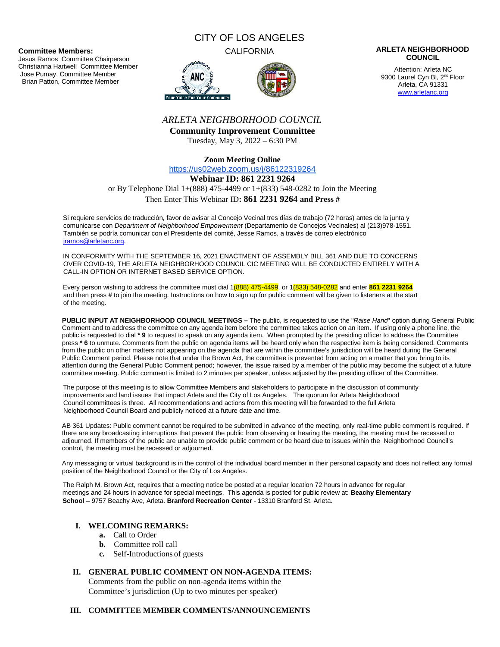**Committee Members:**

Jesus Ramos Committee Chairperson Christianna Hartwell Committee Member Jose Pumay, Committee Member Brian Patton, Committee Member

# CITY OF LOS ANGELES





#### CALIFORNIA **ARLETA NEIGHBORHOOD COUNCIL**

Attention: Arleta NC 9300 Laurel Cyn Bl, 2<sup>nd</sup> Floor Arleta, CA 91331 www.arletanc.org

# *ARLETA NEIGHBORHOOD COUNCIL*

**Community Improvement Committee** Tuesday, May 3, 2022 – 6:30 PM

**Zoom Meeting Online**

https://us02web.zoom.us/j/86122319264

#### **Webinar ID: 861 2231 9264**

or By Telephone Dial 1+(888) 475-4499 or 1+(833) 548-0282 to Join the Meeting

### Then Enter This Webinar ID**: 861 2231 9264 and Press #**

Si requiere servicios de traducción, favor de avisar al Concejo Vecinal tres días de trabajo (72 horas) antes de la junta y comunicarse con *Department of Neighborhood Empowerment* (Departamento de Concejos Vecinales) al (213)978-1551. También se podría comunicar con el Presidente del comité, Jesse Ramos, a través de correo electrónico jramos@arletanc.org.

IN CONFORMITY WITH THE SEPTEMBER 16, 2021 ENACTMENT OF ASSEMBLY BILL 361 AND DUE TO CONCERNS OVER COVID-19, THE ARLETA NEIGHBORHOOD COUNCIL CIC MEETING WILL BE CONDUCTED ENTIRELY WITH A CALL-IN OPTION OR INTERNET BASED SERVICE OPTION.

Every person wishing to address the committee must dial 1(888) 475-4499, or 1(833) 548-0282 and enter **861 2231 9264** and then press # to join the meeting. Instructions on how to sign up for public comment will be given to listeners at the start of the meeting.

**PUBLIC INPUT AT NEIGHBORHOOD COUNCIL MEETINGS –** The public, is requested to use the "*Raise Hand*" option during General Public Comment and to address the committee on any agenda item before the committee takes action on an item. If using only a phone line, the public is requested to dial **\* 9** to request to speak on any agenda item. When prompted by the presiding officer to address the Committee press **\* 6** to unmute. Comments from the public on agenda items will be heard only when the respective item is being considered. Comments from the public on other matters not appearing on the agenda that are within the committee's jurisdiction will be heard during the General Public Comment period. Please note that under the Brown Act, the committee is prevented from acting on a matter that you bring to its attention during the General Public Comment period; however, the issue raised by a member of the public may become the subject of a future committee meeting. Public comment is limited to 2 minutes per speaker, unless adjusted by the presiding officer of the Committee.

The purpose of this meeting is to allow Committee Members and stakeholders to participate in the discussion of community improvements and land issues that impact Arleta and the City of Los Angeles. The quorum for Arleta Neighborhood Council committees is three. All recommendations and actions from this meeting will be forwarded to the full Arleta Neighborhood Council Board and publicly noticed at a future date and time.

AB 361 Updates: Public comment cannot be required to be submitted in advance of the meeting, only real-time public comment is required. If there are any broadcasting interruptions that prevent the public from observing or hearing the meeting, the meeting must be recessed or adjourned. If members of the public are unable to provide public comment or be heard due to issues within the Neighborhood Council's control, the meeting must be recessed or adjourned.

Any messaging or virtual background is in the control of the individual board member in their personal capacity and does not reflect any formal position of the Neighborhood Council or the City of Los Angeles.

The Ralph M. Brown Act, requires that a meeting notice be posted at a regular location 72 hours in advance for regular meetings and 24 hours in advance for special meetings. This agenda is posted for public review at: **Beachy Elementary School** – 9757 Beachy Ave, Arleta. **Branford Recreation Center** - 13310 Branford St. Arleta.

# **I. WELCOMING REMARKS:**

- **a.** Call to Order
- **b.** Committee roll call
- **c.** Self-Introductions of guests

### **II. GENERAL PUBLIC COMMENT ON NON-AGENDA ITEMS:**

Comments from the public on non-agenda items within the Committee's jurisdiction (Up to two minutes per speaker)

#### **III. COMMITTEE MEMBER COMMENTS/ANNOUNCEMENTS**